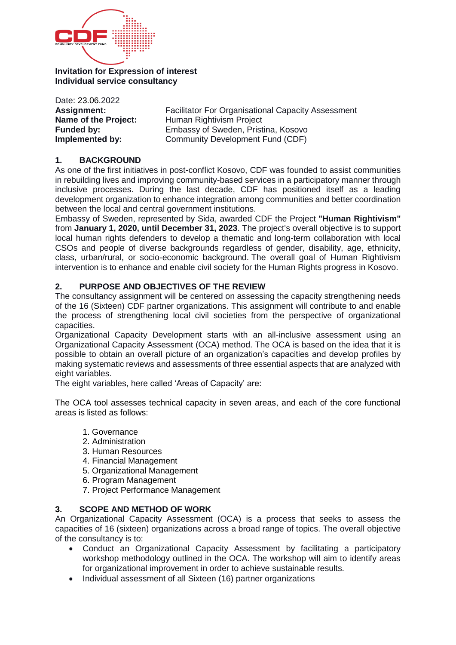

**Invitation for Expression of interest Individual service consultancy**

Date: 23.06.2022 **Assignment:** Facilitator For Organisational Capacity Assessment **Name of the Project:** Human Rightivism Project **Funded by:** Embassy of Sweden, Pristina, Kosovo **Implemented by:** Community Development Fund (CDF)

#### **1. BACKGROUND**

As one of the first initiatives in post-conflict Kosovo, CDF was founded to assist communities in rebuilding lives and improving community-based services in a participatory manner through inclusive processes. During the last decade, CDF has positioned itself as a leading development organization to enhance integration among communities and better coordination between the local and central government institutions.

Embassy of Sweden, represented by Sida, awarded CDF the Project **"Human Rightivism"** from **January 1, 2020, until December 31, 2023**. The project's overall objective is to support local human rights defenders to develop a thematic and long-term collaboration with local CSOs and people of diverse backgrounds regardless of gender, disability, age, ethnicity, class, urban/rural, or socio-economic background. The overall goal of Human Rightivism intervention is to enhance and enable civil society for the Human Rights progress in Kosovo.

#### **2. PURPOSE AND OBJECTIVES OF THE REVIEW**

The consultancy assignment will be centered on assessing the capacity strengthening needs of the 16 (Sixteen) CDF partner organizations. This assignment will contribute to and enable the process of strengthening local civil societies from the perspective of organizational capacities.

Organizational Capacity Development starts with an all-inclusive assessment using an Organizational Capacity Assessment (OCA) method. The OCA is based on the idea that it is possible to obtain an overall picture of an organization's capacities and develop profiles by making systematic reviews and assessments of three essential aspects that are analyzed with eight variables.

The eight variables, here called 'Areas of Capacity' are:

The OCA tool assesses technical capacity in seven areas, and each of the core functional areas is listed as follows:

- 1. Governance
- 2. Administration
- 3. Human Resources
- 4. Financial Management
- 5. Organizational Management
- 6. Program Management
- 7. Project Performance Management

#### **3. SCOPE AND METHOD OF WORK**

An Organizational Capacity Assessment (OCA) is a process that seeks to assess the capacities of 16 (sixteen) organizations across a broad range of topics. The overall objective of the consultancy is to:

- Conduct an Organizational Capacity Assessment by facilitating a participatory workshop methodology outlined in the OCA. The workshop will aim to identify areas for organizational improvement in order to achieve sustainable results.
- Individual assessment of all Sixteen (16) partner organizations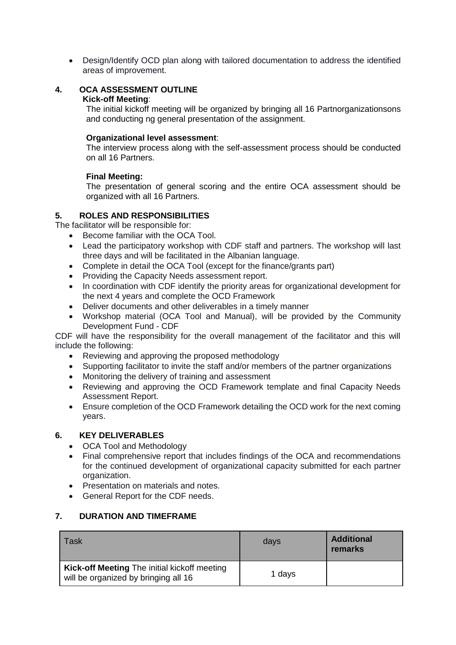Design/Identify OCD plan along with tailored documentation to address the identified areas of improvement.

# **4. OCA ASSESSMENT OUTLINE**

#### **Kick-off Meeting**:

The initial kickoff meeting will be organized by bringing all 16 Partnorganizationsons and conducting ng general presentation of the assignment.

#### **Organizational level assessment**:

The interview process along with the self-assessment process should be conducted on all 16 Partners.

# **Final Meeting:**

The presentation of general scoring and the entire OCA assessment should be organized with all 16 Partners.

# **5. ROLES AND RESPONSIBILITIES**

The facilitator will be responsible for:

- Become familiar with the OCA Tool.
- Lead the participatory workshop with CDF staff and partners. The workshop will last three days and will be facilitated in the Albanian language.
- Complete in detail the OCA Tool (except for the finance/grants part)
- Providing the Capacity Needs assessment report.
- In coordination with CDF identify the priority areas for organizational development for the next 4 years and complete the OCD Framework
- Deliver documents and other deliverables in a timely manner
- Workshop material (OCA Tool and Manual), will be provided by the Community Development Fund - CDF

CDF will have the responsibility for the overall management of the facilitator and this will include the following:

- Reviewing and approving the proposed methodology
- Supporting facilitator to invite the staff and/or members of the partner organizations
- Monitoring the delivery of training and assessment
- Reviewing and approving the OCD Framework template and final Capacity Needs Assessment Report.
- Ensure completion of the OCD Framework detailing the OCD work for the next coming years.

# **6. KEY DELIVERABLES**

- OCA Tool and Methodology
- Final comprehensive report that includes findings of the OCA and recommendations for the continued development of organizational capacity submitted for each partner organization.
- Presentation on materials and notes.
- General Report for the CDF needs.

# **7. DURATION AND TIMEFRAME**

| Task                                                                                 | days   | <b>Additional</b><br>remarks |
|--------------------------------------------------------------------------------------|--------|------------------------------|
| Kick-off Meeting The initial kickoff meeting<br>will be organized by bringing all 16 | 1 days |                              |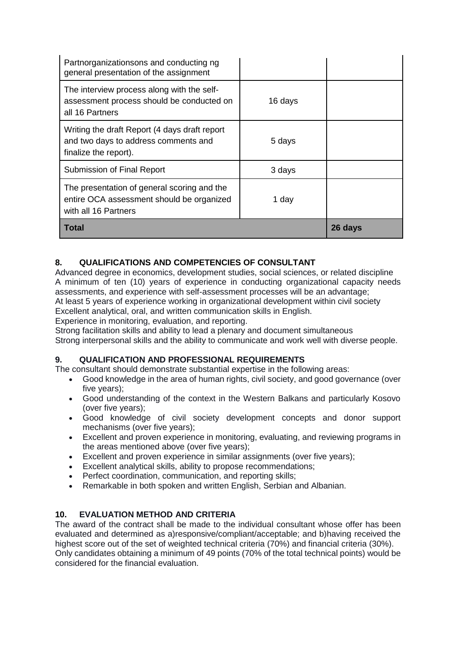| Partnorganizationsons and conducting ng<br>general presentation of the assignment                                |         |         |
|------------------------------------------------------------------------------------------------------------------|---------|---------|
| The interview process along with the self-<br>assessment process should be conducted on<br>all 16 Partners       | 16 days |         |
| Writing the draft Report (4 days draft report<br>and two days to address comments and<br>finalize the report).   | 5 days  |         |
| Submission of Final Report                                                                                       | 3 days  |         |
| The presentation of general scoring and the<br>entire OCA assessment should be organized<br>with all 16 Partners | 1 day   |         |
| Total                                                                                                            |         | 26 days |

# **8. QUALIFICATIONS AND COMPETENCIES OF CONSULTANT**

Advanced degree in economics, development studies, social sciences, or related discipline A minimum of ten (10) years of experience in conducting organizational capacity needs assessments, and experience with self-assessment processes will be an advantage;

At least 5 years of experience working in organizational development within civil society Excellent analytical, oral, and written communication skills in English.

Experience in monitoring, evaluation, and reporting.

Strong facilitation skills and ability to lead a plenary and document simultaneous

Strong interpersonal skills and the ability to communicate and work well with diverse people.

# **9. QUALIFICATION AND PROFESSIONAL REQUIREMENTS**

The consultant should demonstrate substantial expertise in the following areas:

- Good knowledge in the area of human rights, civil society, and good governance (over five years);
- Good understanding of the context in the Western Balkans and particularly Kosovo (over five years);
- Good knowledge of civil society development concepts and donor support mechanisms (over five years);
- Excellent and proven experience in monitoring, evaluating, and reviewing programs in the areas mentioned above (over five years);
- Excellent and proven experience in similar assignments (over five years);
- Excellent analytical skills, ability to propose recommendations;
- Perfect coordination, communication, and reporting skills;
- Remarkable in both spoken and written English, Serbian and Albanian.

# **10. EVALUATION METHOD AND CRITERIA**

The award of the contract shall be made to the individual consultant whose offer has been evaluated and determined as a)responsive/compliant/acceptable; and b)having received the highest score out of the set of weighted technical criteria (70%) and financial criteria (30%). Only candidates obtaining a minimum of 49 points (70% of the total technical points) would be considered for the financial evaluation.